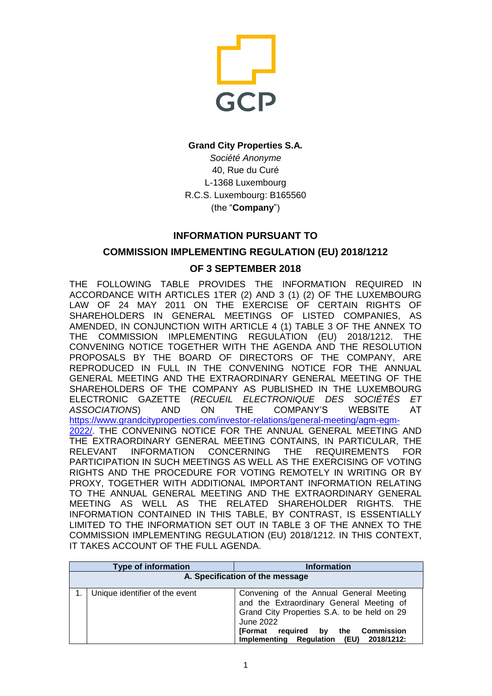

### **Grand City Properties S.A.**

*Société Anonyme* 40, Rue du Curé L-1368 Luxembourg R.C.S. Luxembourg: B165560 (the "**Company**")

# **INFORMATION PURSUANT TO**

## **COMMISSION IMPLEMENTING REGULATION (EU) 2018/1212**

#### **OF 3 SEPTEMBER 2018**

THE FOLLOWING TABLE PROVIDES THE INFORMATION REQUIRED IN ACCORDANCE WITH ARTICLES 1TER (2) AND 3 (1) (2) OF THE LUXEMBOURG LAW OF 24 MAY 2011 ON THE EXERCISE OF CERTAIN RIGHTS OF SHAREHOLDERS IN GENERAL MEETINGS OF LISTED COMPANIES, AS AMENDED, IN CONJUNCTION WITH ARTICLE 4 (1) TABLE 3 OF THE ANNEX TO THE COMMISSION IMPLEMENTING REGULATION (EU) 2018/1212. THE CONVENING NOTICE TOGETHER WITH THE AGENDA AND THE RESOLUTION PROPOSALS BY THE BOARD OF DIRECTORS OF THE COMPANY, ARE REPRODUCED IN FULL IN THE CONVENING NOTICE FOR THE ANNUAL GENERAL MEETING AND THE EXTRAORDINARY GENERAL MEETING OF THE SHAREHOLDERS OF THE COMPANY AS PUBLISHED IN THE LUXEMBOURG ELECTRONIC GAZETTE (*RECUEIL ELECTRONIQUE DES SOCIÉTÉS ET ASSOCIATIONS*) AND ON THE COMPANY'S WEBSITE AT [https://www.grandcityproperties.com/investor-relations/general-meeting/agm-egm-](https://www.grandcityproperties.com/investor-relations/general-meeting/agm-egm-2022/)[2022/.](https://www.grandcityproperties.com/investor-relations/general-meeting/agm-egm-2022/) THE CONVENING NOTICE FOR THE ANNUAL GENERAL MEETING AND THE EXTRAORDINARY GENERAL MEETING CONTAINS, IN PARTICULAR, THE RELEVANT INFORMATION CONCERNING THE REQUIREMENTS FOR PARTICIPATION IN SUCH MEETINGS AS WELL AS THE EXERCISING OF VOTING RIGHTS AND THE PROCEDURE FOR VOTING REMOTELY IN WRITING OR BY PROXY, TOGETHER WITH ADDITIONAL IMPORTANT INFORMATION RELATING TO THE ANNUAL GENERAL MEETING AND THE EXTRAORDINARY GENERAL MEETING AS WELL AS THE RELATED SHAREHOLDER RIGHTS. THE INFORMATION CONTAINED IN THIS TABLE, BY CONTRAST, IS ESSENTIALLY LIMITED TO THE INFORMATION SET OUT IN TABLE 3 OF THE ANNEX TO THE COMMISSION IMPLEMENTING REGULATION (EU) 2018/1212. IN THIS CONTEXT, IT TAKES ACCOUNT OF THE FULL AGENDA.

|                                 | <b>Type of information</b>     | <b>Information</b>                                                                                                                                                                                                               |
|---------------------------------|--------------------------------|----------------------------------------------------------------------------------------------------------------------------------------------------------------------------------------------------------------------------------|
| A. Specification of the message |                                |                                                                                                                                                                                                                                  |
|                                 | Unique identifier of the event | Convening of the Annual General Meeting<br>and the Extraordinary General Meeting of<br>Grand City Properties S.A. to be held on 29<br>June 2022<br>[Format required by the Commission<br>Implementing Regulation (EU) 2018/1212: |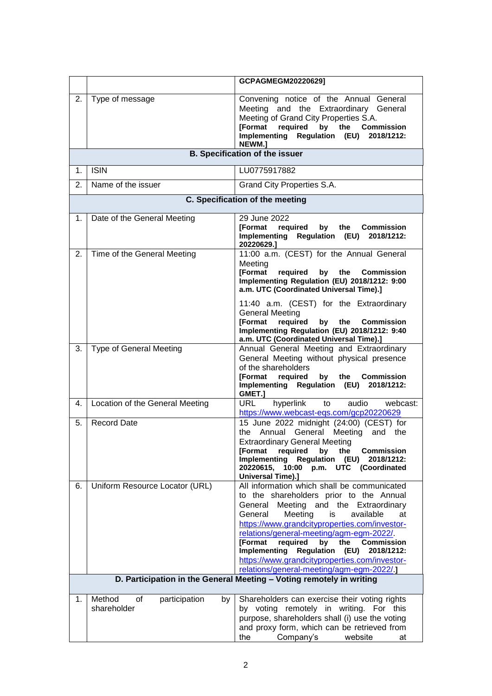|    |                                                    | GCPAGMEGM20220629]                                                                                                                                                                                                                                                                                                                                                                                                                                                                                       |
|----|----------------------------------------------------|----------------------------------------------------------------------------------------------------------------------------------------------------------------------------------------------------------------------------------------------------------------------------------------------------------------------------------------------------------------------------------------------------------------------------------------------------------------------------------------------------------|
| 2. | Type of message                                    | Convening notice of the Annual General<br>Meeting and the Extraordinary General<br>Meeting of Grand City Properties S.A.<br><b>[Format</b><br>required by the<br><b>Commission</b><br>Implementing Regulation (EU) 2018/1212:<br>NEWM.]                                                                                                                                                                                                                                                                  |
|    |                                                    | <b>B. Specification of the issuer</b>                                                                                                                                                                                                                                                                                                                                                                                                                                                                    |
| 1. | <b>ISIN</b>                                        | LU0775917882                                                                                                                                                                                                                                                                                                                                                                                                                                                                                             |
| 2. | Name of the issuer                                 | Grand City Properties S.A.                                                                                                                                                                                                                                                                                                                                                                                                                                                                               |
|    |                                                    | C. Specification of the meeting                                                                                                                                                                                                                                                                                                                                                                                                                                                                          |
| 1. | Date of the General Meeting                        | 29 June 2022<br><b>IFormat</b><br>required<br>by<br>the<br><b>Commission</b><br>Implementing Regulation (EU) 2018/1212:<br>20220629.1                                                                                                                                                                                                                                                                                                                                                                    |
| 2. | Time of the General Meeting                        | 11:00 a.m. (CEST) for the Annual General<br>Meeting<br><b>[Format</b><br>required<br>by<br>the<br><b>Commission</b><br>Implementing Regulation (EU) 2018/1212: 9:00<br>a.m. UTC (Coordinated Universal Time).]<br>11:40 a.m. (CEST) for the Extraordinary<br><b>General Meeting</b><br><b>[Format</b><br>required<br>by<br>the<br><b>Commission</b><br>Implementing Regulation (EU) 2018/1212: 9:40<br>a.m. UTC (Coordinated Universal Time).]                                                           |
| 3. | <b>Type of General Meeting</b>                     | Annual General Meeting and Extraordinary<br>General Meeting without physical presence<br>of the shareholders<br><b>[Format</b><br>required<br>by<br>the<br><b>Commission</b><br>Implementing Regulation (EU) 2018/1212:<br>GMET.]                                                                                                                                                                                                                                                                        |
| 4. | Location of the General Meeting                    | URL.<br>hyperlink<br>to<br>audio<br>webcast:<br>https://www.webcast-eqs.com/gcp20220629                                                                                                                                                                                                                                                                                                                                                                                                                  |
| 5. | <b>Record Date</b>                                 | 15 June 2022 midnight (24:00) (CEST) for<br>Annual General Meeting<br>and the<br>the<br><b>Extraordinary General Meeting</b><br><b>[Format</b><br>required<br>by<br>the<br><b>Commission</b><br>Implementing<br><b>Regulation (EU)</b><br>2018/1212:<br>20220615,<br>10:00 p.m. UTC (Coordinated<br>Universal Time).]                                                                                                                                                                                    |
| 6. | Uniform Resource Locator (URL)                     | All information which shall be communicated<br>to the shareholders prior to the Annual<br>Meeting and the Extraordinary<br>General<br>General<br>Meeting<br>is<br>available<br>at<br>https://www.grandcityproperties.com/investor-<br>relations/general-meeting/agm-egm-2022/<br><b>IFormat</b><br>required<br>by<br>the<br><b>Commission</b><br><b>Implementing</b><br><b>Regulation (EU)</b><br>2018/1212:<br>https://www.grandcityproperties.com/investor-<br>relations/general-meeting/agm-egm-2022/ |
|    |                                                    | D. Participation in the General Meeting - Voting remotely in writing                                                                                                                                                                                                                                                                                                                                                                                                                                     |
| 1. | participation<br>Method<br>οf<br>by<br>shareholder | Shareholders can exercise their voting rights<br>by voting remotely in writing. For this<br>purpose, shareholders shall (i) use the voting<br>and proxy form, which can be retrieved from<br>Company's<br>website<br>the<br>at                                                                                                                                                                                                                                                                           |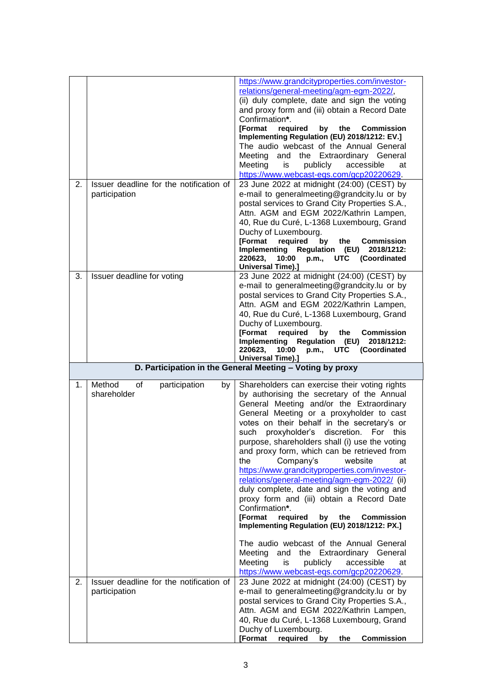|    |                                                          | https://www.grandcityproperties.com/investor-<br>relations/general-meeting/agm-egm-2022/,<br>(ii) duly complete, date and sign the voting<br>and proxy form and (iii) obtain a Record Date<br>Confirmation*.<br><b>IFormat</b><br>required<br>by the<br><b>Commission</b><br>Implementing Regulation (EU) 2018/1212: EV.]<br>The audio webcast of the Annual General<br>and the Extraordinary General<br>Meeting<br>Meeting<br>publicly<br>accessible<br>at<br>is<br>https://www.webcast-eqs.com/gcp20220629.                                                                                                                                                                                                                                            |
|----|----------------------------------------------------------|----------------------------------------------------------------------------------------------------------------------------------------------------------------------------------------------------------------------------------------------------------------------------------------------------------------------------------------------------------------------------------------------------------------------------------------------------------------------------------------------------------------------------------------------------------------------------------------------------------------------------------------------------------------------------------------------------------------------------------------------------------|
| 2. | Issuer deadline for the notification of<br>participation | 23 June 2022 at midnight (24:00) (CEST) by<br>e-mail to generalmeeting@grandcity.lu or by<br>postal services to Grand City Properties S.A.,<br>Attn. AGM and EGM 2022/Kathrin Lampen,<br>40, Rue du Curé, L-1368 Luxembourg, Grand<br>Duchy of Luxembourg.<br><b>[Format</b><br>required<br>by<br>the<br><b>Commission</b><br>Implementing Regulation (EU)<br>2018/1212:<br>220623,<br>10:00<br>p.m., UTC (Coordinated<br><b>Universal Time).]</b>                                                                                                                                                                                                                                                                                                       |
| 3. | Issuer deadline for voting                               | 23 June 2022 at midnight (24:00) (CEST) by<br>e-mail to generalmeeting@grandcity.lu or by<br>postal services to Grand City Properties S.A.,<br>Attn. AGM and EGM 2022/Kathrin Lampen,<br>40, Rue du Curé, L-1368 Luxembourg, Grand<br>Duchy of Luxembourg.<br><b>[Format</b><br>required<br>by<br>the<br><b>Commission</b><br>Implementing Regulation (EU) 2018/1212:<br>p.m., UTC (Coordinated<br>220623,<br>10:00<br><b>Universal Time).]</b>                                                                                                                                                                                                                                                                                                          |
|    |                                                          | D. Participation in the General Meeting - Voting by proxy                                                                                                                                                                                                                                                                                                                                                                                                                                                                                                                                                                                                                                                                                                |
|    |                                                          |                                                                                                                                                                                                                                                                                                                                                                                                                                                                                                                                                                                                                                                                                                                                                          |
| 1. | Method<br>of<br>participation<br>by<br>shareholder       | Shareholders can exercise their voting rights<br>by authorising the secretary of the Annual<br>General Meeting and/or the Extraordinary<br>General Meeting or a proxyholder to cast<br>votes on their behalf in the secretary's or<br>such<br>proxyholder's discretion.<br>For this<br>purpose, shareholders shall (i) use the voting<br>and proxy form, which can be retrieved from<br>Company's<br>the<br>website<br>at<br>https://www.grandcityproperties.com/investor-<br>relations/general-meeting/agm-egm-2022/ (ii)<br>duly complete, date and sign the voting and<br>proxy form and (iii) obtain a Record Date<br>Confirmation*.<br><b>[Format</b><br>required<br>by<br>the<br><b>Commission</b><br>Implementing Regulation (EU) 2018/1212: PX.] |
|    | Issuer deadline for the notification of                  | The audio webcast of the Annual General<br>Meeting<br>and the Extraordinary General<br>Meeting<br>publicly<br>accessible<br>is<br>at<br>https://www.webcast-eqs.com/gcp20220629.<br>23 June 2022 at midnight (24:00) (CEST) by                                                                                                                                                                                                                                                                                                                                                                                                                                                                                                                           |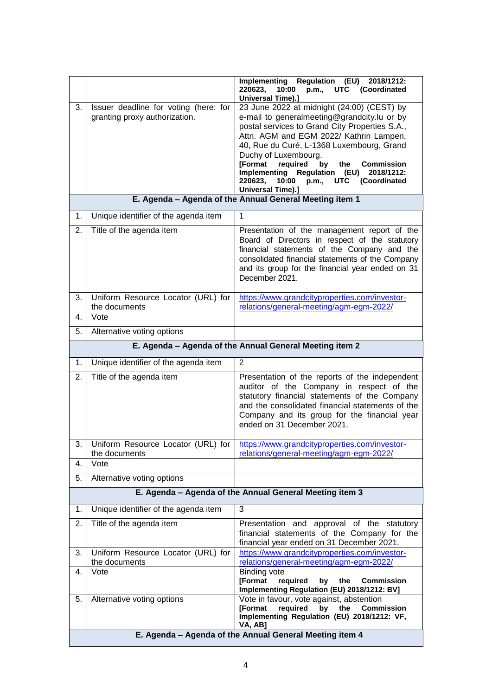|    |                                                                        | Implementing Regulation (EU) 2018/1212:<br>220623.<br>10:00<br>p.m., UTC (Coordinated<br><b>Universal Time).]</b>                                                                                                                                                                                                                                                                                                                         |
|----|------------------------------------------------------------------------|-------------------------------------------------------------------------------------------------------------------------------------------------------------------------------------------------------------------------------------------------------------------------------------------------------------------------------------------------------------------------------------------------------------------------------------------|
| 3. | Issuer deadline for voting (here: for<br>granting proxy authorization. | 23 June 2022 at midnight (24:00) (CEST) by<br>e-mail to generalmeeting@grandcity.lu or by<br>postal services to Grand City Properties S.A.,<br>Attn. AGM and EGM 2022/ Kathrin Lampen,<br>40, Rue du Curé, L-1368 Luxembourg, Grand<br>Duchy of Luxembourg.<br>required<br>by<br><b>IFormat</b><br>the<br><b>Commission</b><br>Implementing Regulation (EU) 2018/1212:<br>220623.<br>10:00<br>p.m., UTC (Coordinated<br>Universal Time).] |
|    |                                                                        | E. Agenda - Agenda of the Annual General Meeting item 1                                                                                                                                                                                                                                                                                                                                                                                   |
| 1. | Unique identifier of the agenda item                                   | 1                                                                                                                                                                                                                                                                                                                                                                                                                                         |
| 2. | Title of the agenda item                                               | Presentation of the management report of the<br>Board of Directors in respect of the statutory<br>financial statements of the Company and the<br>consolidated financial statements of the Company<br>and its group for the financial year ended on 31<br>December 2021.                                                                                                                                                                   |
| 3. | Uniform Resource Locator (URL) for<br>the documents                    | https://www.grandcityproperties.com/investor-<br>relations/general-meeting/agm-egm-2022/                                                                                                                                                                                                                                                                                                                                                  |
| 4. | Vote                                                                   |                                                                                                                                                                                                                                                                                                                                                                                                                                           |
| 5. | Alternative voting options                                             |                                                                                                                                                                                                                                                                                                                                                                                                                                           |
|    |                                                                        | E. Agenda - Agenda of the Annual General Meeting item 2                                                                                                                                                                                                                                                                                                                                                                                   |
| 1. | Unique identifier of the agenda item                                   | $\overline{2}$                                                                                                                                                                                                                                                                                                                                                                                                                            |
| 2. | Title of the agenda item                                               | Presentation of the reports of the independent<br>auditor of the Company in respect of the<br>statutory financial statements of the Company<br>and the consolidated financial statements of the<br>Company and its group for the financial year<br>ended on 31 December 2021.                                                                                                                                                             |
|    | the documents                                                          | Uniform Resource Locator (URL) for   https://www.grandcityproperties.com/investor-                                                                                                                                                                                                                                                                                                                                                        |
| 4. | Vote                                                                   | relations/general-meeting/agm-egm-2022/                                                                                                                                                                                                                                                                                                                                                                                                   |
| 5. | Alternative voting options                                             |                                                                                                                                                                                                                                                                                                                                                                                                                                           |
|    |                                                                        | E. Agenda - Agenda of the Annual General Meeting item 3                                                                                                                                                                                                                                                                                                                                                                                   |
| 1. | Unique identifier of the agenda item                                   | 3                                                                                                                                                                                                                                                                                                                                                                                                                                         |
| 2. | Title of the agenda item                                               | Presentation and approval of the statutory<br>financial statements of the Company for the<br>financial year ended on 31 December 2021.                                                                                                                                                                                                                                                                                                    |
| 3. | Uniform Resource Locator (URL) for<br>the documents                    | https://www.grandcityproperties.com/investor-<br>relations/general-meeting/agm-egm-2022/                                                                                                                                                                                                                                                                                                                                                  |
| 4. | Vote                                                                   | <b>Binding vote</b><br>[Format<br>required<br>by the Commission<br>Implementing Regulation (EU) 2018/1212: BV]                                                                                                                                                                                                                                                                                                                            |
| 5. | Alternative voting options                                             | Vote in favour, vote against, abstention<br><b>[Format</b><br>required<br>by<br>the<br><b>Commission</b><br>Implementing Regulation (EU) 2018/1212: VF,<br>VA, AB]                                                                                                                                                                                                                                                                        |
|    |                                                                        | E. Agenda - Agenda of the Annual General Meeting item 4                                                                                                                                                                                                                                                                                                                                                                                   |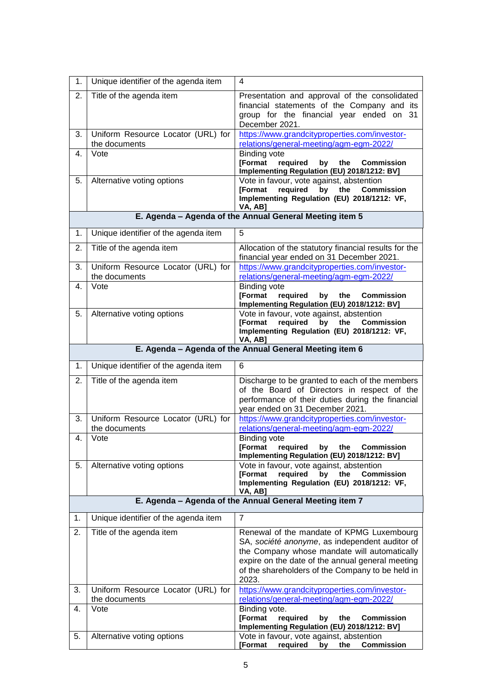| 1. | Unique identifier of the agenda item                | 4                                                                                                                                                                                                                                                            |
|----|-----------------------------------------------------|--------------------------------------------------------------------------------------------------------------------------------------------------------------------------------------------------------------------------------------------------------------|
| 2. | Title of the agenda item                            | Presentation and approval of the consolidated<br>financial statements of the Company and its<br>group for the financial year ended on 31<br>December 2021.                                                                                                   |
| 3. | Uniform Resource Locator (URL) for<br>the documents | https://www.grandcityproperties.com/investor-<br>relations/general-meeting/agm-egm-2022/                                                                                                                                                                     |
| 4. | Vote                                                | <b>Binding vote</b><br><b>[Format</b><br>required<br>by<br>the<br><b>Commission</b><br>Implementing Regulation (EU) 2018/1212: BV]                                                                                                                           |
| 5. | Alternative voting options                          | Vote in favour, vote against, abstention<br><b>[Format</b><br>required<br>by<br>the<br><b>Commission</b><br>Implementing Regulation (EU) 2018/1212: VF,<br>VA, AB]                                                                                           |
|    |                                                     | E. Agenda - Agenda of the Annual General Meeting item 5                                                                                                                                                                                                      |
| 1. | Unique identifier of the agenda item                | 5                                                                                                                                                                                                                                                            |
| 2. | Title of the agenda item                            | Allocation of the statutory financial results for the<br>financial year ended on 31 December 2021.                                                                                                                                                           |
| 3. | Uniform Resource Locator (URL) for<br>the documents | https://www.grandcityproperties.com/investor-<br>relations/general-meeting/agm-egm-2022/                                                                                                                                                                     |
| 4. | Vote                                                | <b>Binding vote</b><br><b>[Format</b><br>required<br>by<br>the<br><b>Commission</b><br>Implementing Regulation (EU) 2018/1212: BV]                                                                                                                           |
| 5. | Alternative voting options                          | Vote in favour, vote against, abstention<br>required<br><b>IFormat</b><br>by<br>the<br><b>Commission</b><br>Implementing Regulation (EU) 2018/1212: VF,<br>VA, AB]                                                                                           |
|    |                                                     | E. Agenda - Agenda of the Annual General Meeting item 6                                                                                                                                                                                                      |
| 1. | Unique identifier of the agenda item                | 6                                                                                                                                                                                                                                                            |
| 2. | Title of the agenda item                            | Discharge to be granted to each of the members<br>of the Board of Directors in respect of the<br>performance of their duties during the financial<br>year ended on 31 December 2021.                                                                         |
| 3. | Uniform Resource Locator (URL) for<br>the documents | https://www.grandcityproperties.com/investor-<br>relations/general-meeting/agm-egm-2022/                                                                                                                                                                     |
| 4. | Vote                                                | Binding vote<br>required by the Commission<br><b>[Format</b><br>Implementing Regulation (EU) 2018/1212: BV]                                                                                                                                                  |
| 5. | Alternative voting options                          | Vote in favour, vote against, abstention<br><b>[Format</b><br>required<br><b>Commission</b><br>bv<br>the<br>Implementing Regulation (EU) 2018/1212: VF,<br>VA, AB]                                                                                           |
|    |                                                     | E. Agenda - Agenda of the Annual General Meeting item 7                                                                                                                                                                                                      |
| 1. | Unique identifier of the agenda item                | $\overline{7}$                                                                                                                                                                                                                                               |
| 2. | Title of the agenda item                            | Renewal of the mandate of KPMG Luxembourg<br>SA, société anonyme, as independent auditor of<br>the Company whose mandate will automatically<br>expire on the date of the annual general meeting<br>of the shareholders of the Company to be held in<br>2023. |
| 3. | Uniform Resource Locator (URL) for<br>the documents | https://www.grandcityproperties.com/investor-<br>relations/general-meeting/agm-egm-2022/                                                                                                                                                                     |
| 4. | Vote                                                | Binding vote.<br><b>[Format</b><br>required<br>the<br>by<br><b>Commission</b><br>Implementing Regulation (EU) 2018/1212: BV]                                                                                                                                 |
| 5. | Alternative voting options                          | Vote in favour, vote against, abstention<br><b>[Format</b><br>required<br>by<br>the<br><b>Commission</b>                                                                                                                                                     |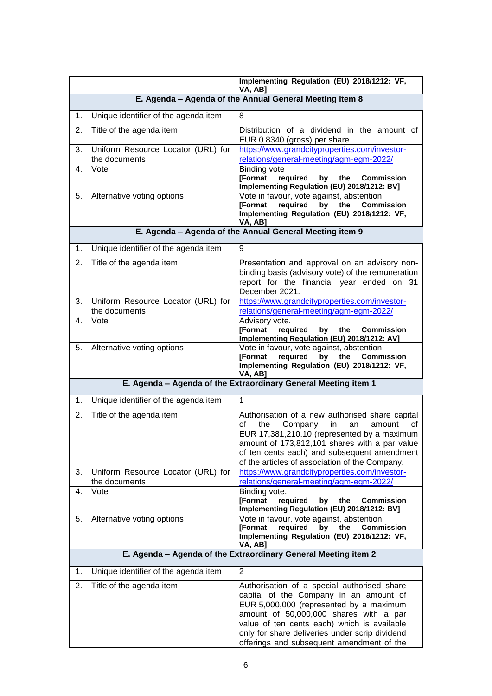|    |                                                     | Implementing Regulation (EU) 2018/1212: VF,<br>VA, AB]                                                                                                                                                                                                                                                                   |
|----|-----------------------------------------------------|--------------------------------------------------------------------------------------------------------------------------------------------------------------------------------------------------------------------------------------------------------------------------------------------------------------------------|
|    |                                                     | E. Agenda - Agenda of the Annual General Meeting item 8                                                                                                                                                                                                                                                                  |
| 1. | Unique identifier of the agenda item                | 8                                                                                                                                                                                                                                                                                                                        |
| 2. | Title of the agenda item                            | Distribution of a dividend in the amount of<br>EUR 0.8340 (gross) per share.                                                                                                                                                                                                                                             |
| 3. | Uniform Resource Locator (URL) for<br>the documents | https://www.grandcityproperties.com/investor-<br>relations/general-meeting/agm-egm-2022/                                                                                                                                                                                                                                 |
| 4. | Vote                                                | <b>Binding vote</b><br><b>[Format</b><br>required<br>the<br>by<br><b>Commission</b><br>Implementing Regulation (EU) 2018/1212: BV]                                                                                                                                                                                       |
| 5. | Alternative voting options                          | Vote in favour, vote against, abstention<br>required<br>by<br><b>[Format</b><br>the<br><b>Commission</b><br>Implementing Regulation (EU) 2018/1212: VF,<br>VA, AB]                                                                                                                                                       |
|    |                                                     | E. Agenda - Agenda of the Annual General Meeting item 9                                                                                                                                                                                                                                                                  |
| 1. | Unique identifier of the agenda item                | 9                                                                                                                                                                                                                                                                                                                        |
| 2. | Title of the agenda item                            | Presentation and approval on an advisory non-<br>binding basis (advisory vote) of the remuneration<br>report for the financial year ended on 31<br>December 2021.                                                                                                                                                        |
| 3. | Uniform Resource Locator (URL) for<br>the documents | https://www.grandcityproperties.com/investor-<br>relations/general-meeting/agm-egm-2022/                                                                                                                                                                                                                                 |
| 4. | Vote                                                | Advisory vote.<br><b>[Format</b><br>required<br>by<br>the<br><b>Commission</b><br>Implementing Regulation (EU) 2018/1212: AV]                                                                                                                                                                                            |
| 5. | Alternative voting options                          | Vote in favour, vote against, abstention<br>required<br><b>[Format</b><br>by the<br><b>Commission</b><br>Implementing Regulation (EU) 2018/1212: VF,<br>VA, AB]                                                                                                                                                          |
|    |                                                     | E. Agenda - Agenda of the Extraordinary General Meeting item 1                                                                                                                                                                                                                                                           |
| 1. | Unique identifier of the agenda item                | $\mathbf 1$                                                                                                                                                                                                                                                                                                              |
| 2. | Title of the agenda item                            | Authorisation of a new authorised share capital<br>the<br>Company<br>οf<br>in<br>amount<br>an<br>οf<br>EUR 17,381,210.10 (represented by a maximum<br>amount of 173,812,101 shares with a par value<br>of ten cents each) and subsequent amendment<br>of the articles of association of the Company.                     |
| 3. | Uniform Resource Locator (URL) for<br>the documents | https://www.grandcityproperties.com/investor-<br>relations/general-meeting/agm-egm-2022/                                                                                                                                                                                                                                 |
| 4. | Vote                                                | Binding vote.<br><b>[Format</b><br>required<br>by<br>the<br><b>Commission</b><br>Implementing Regulation (EU) 2018/1212: BV]                                                                                                                                                                                             |
| 5. | Alternative voting options                          | Vote in favour, vote against, abstention.<br><b>[Format</b><br>required<br>by<br>the<br><b>Commission</b><br>Implementing Regulation (EU) 2018/1212: VF,<br>VA, AB]                                                                                                                                                      |
|    |                                                     | E. Agenda - Agenda of the Extraordinary General Meeting item 2                                                                                                                                                                                                                                                           |
| 1. | Unique identifier of the agenda item                | 2                                                                                                                                                                                                                                                                                                                        |
| 2. | Title of the agenda item                            | Authorisation of a special authorised share<br>capital of the Company in an amount of<br>EUR 5,000,000 (represented by a maximum<br>amount of 50,000,000 shares with a par<br>value of ten cents each) which is available<br>only for share deliveries under scrip dividend<br>offerings and subsequent amendment of the |